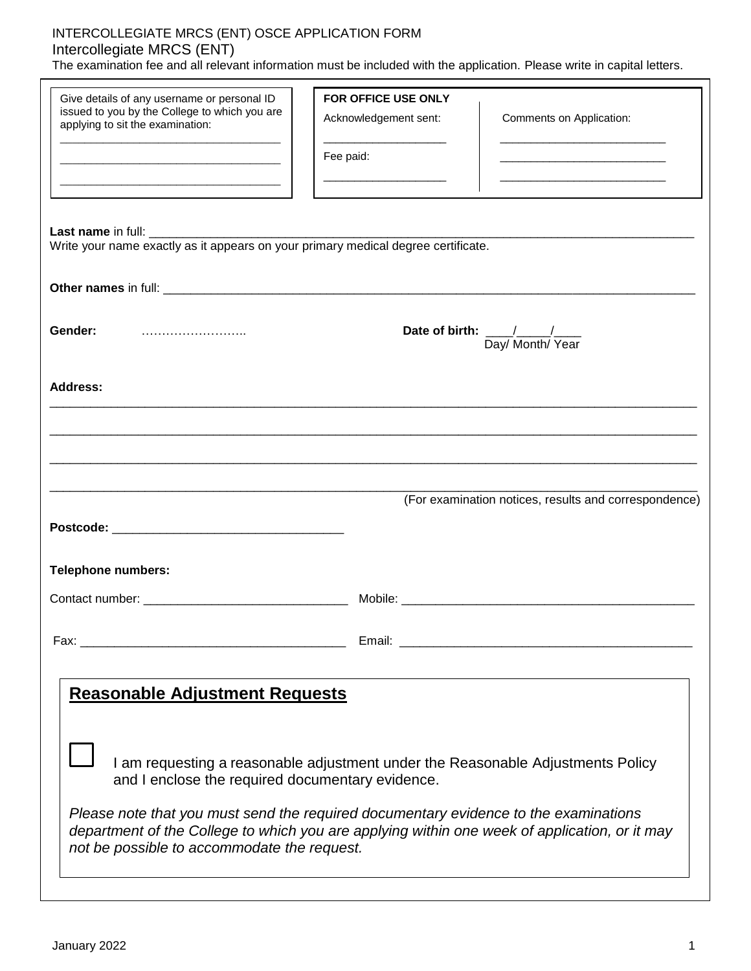# INTERCOLLEGIATE MRCS (ENT) OSCE APPLICATION FORM Intercollegiate MRCS (ENT)

The examination fee and all relevant information must be included with the application. Please write in capital letters.

| Give details of any username or personal ID                                                                                                                                                                                          | FOR OFFICE USE ONLY                                                                                                    |                                                                                                                                                                                                                                                                                                                                                                |
|--------------------------------------------------------------------------------------------------------------------------------------------------------------------------------------------------------------------------------------|------------------------------------------------------------------------------------------------------------------------|----------------------------------------------------------------------------------------------------------------------------------------------------------------------------------------------------------------------------------------------------------------------------------------------------------------------------------------------------------------|
| issued to you by the College to which you are<br>applying to sit the examination:                                                                                                                                                    | Acknowledgement sent:                                                                                                  | Comments on Application:                                                                                                                                                                                                                                                                                                                                       |
|                                                                                                                                                                                                                                      | Fee paid:                                                                                                              | <u> 1980 - Johann John Harry Harry Harry Harry Harry Harry Harry Harry Harry Harry Harry Harry Harry Harry Harry H</u><br><u> 1980 - Johann John Harry Harry Harry Harry Harry Harry Harry Harry Harry Harry Harry Harry Harry Harry Harry Harry Harry Harry Harry Harry Harry Harry Harry Harry Harry Harry Harry Harry Harry Harry Harry Harry Harry Har</u> |
|                                                                                                                                                                                                                                      | <u> 1989 - Johann John Harry Harry Harry Harry Harry Harry Harry Harry Harry Harry Harry Harry Harry Harry Harry H</u> | <u> 1989 - Johann John Harry Harry Harry Harry Harry Harry Harry Harry Harry Harry Harry Harry Harry Harry Harry Harry Harry Harry Harry Harry Harry Harry Harry Harry Harry Harry Harry Harry Harry Harry Harry Harry Harry Har</u>                                                                                                                           |
| Write your name exactly as it appears on your primary medical degree certificate.                                                                                                                                                    |                                                                                                                        |                                                                                                                                                                                                                                                                                                                                                                |
|                                                                                                                                                                                                                                      |                                                                                                                        |                                                                                                                                                                                                                                                                                                                                                                |
|                                                                                                                                                                                                                                      |                                                                                                                        |                                                                                                                                                                                                                                                                                                                                                                |
| Gender:                                                                                                                                                                                                                              |                                                                                                                        | Date of birth: $\frac{\sqrt{2}}{2}$<br>Day/ Month/ Year                                                                                                                                                                                                                                                                                                        |
| <b>Address:</b>                                                                                                                                                                                                                      |                                                                                                                        |                                                                                                                                                                                                                                                                                                                                                                |
|                                                                                                                                                                                                                                      |                                                                                                                        |                                                                                                                                                                                                                                                                                                                                                                |
|                                                                                                                                                                                                                                      |                                                                                                                        |                                                                                                                                                                                                                                                                                                                                                                |
|                                                                                                                                                                                                                                      |                                                                                                                        |                                                                                                                                                                                                                                                                                                                                                                |
|                                                                                                                                                                                                                                      |                                                                                                                        |                                                                                                                                                                                                                                                                                                                                                                |
|                                                                                                                                                                                                                                      |                                                                                                                        | (For examination notices, results and correspondence)                                                                                                                                                                                                                                                                                                          |
|                                                                                                                                                                                                                                      |                                                                                                                        |                                                                                                                                                                                                                                                                                                                                                                |
| <b>Telephone numbers:</b>                                                                                                                                                                                                            |                                                                                                                        |                                                                                                                                                                                                                                                                                                                                                                |
|                                                                                                                                                                                                                                      |                                                                                                                        |                                                                                                                                                                                                                                                                                                                                                                |
|                                                                                                                                                                                                                                      |                                                                                                                        |                                                                                                                                                                                                                                                                                                                                                                |
|                                                                                                                                                                                                                                      |                                                                                                                        |                                                                                                                                                                                                                                                                                                                                                                |
|                                                                                                                                                                                                                                      |                                                                                                                        |                                                                                                                                                                                                                                                                                                                                                                |
| <b>Reasonable Adjustment Requests</b>                                                                                                                                                                                                |                                                                                                                        |                                                                                                                                                                                                                                                                                                                                                                |
|                                                                                                                                                                                                                                      |                                                                                                                        |                                                                                                                                                                                                                                                                                                                                                                |
|                                                                                                                                                                                                                                      |                                                                                                                        |                                                                                                                                                                                                                                                                                                                                                                |
| I am requesting a reasonable adjustment under the Reasonable Adjustments Policy<br>and I enclose the required documentary evidence.                                                                                                  |                                                                                                                        |                                                                                                                                                                                                                                                                                                                                                                |
|                                                                                                                                                                                                                                      |                                                                                                                        |                                                                                                                                                                                                                                                                                                                                                                |
| Please note that you must send the required documentary evidence to the examinations<br>department of the College to which you are applying within one week of application, or it may<br>not be possible to accommodate the request. |                                                                                                                        |                                                                                                                                                                                                                                                                                                                                                                |
|                                                                                                                                                                                                                                      |                                                                                                                        |                                                                                                                                                                                                                                                                                                                                                                |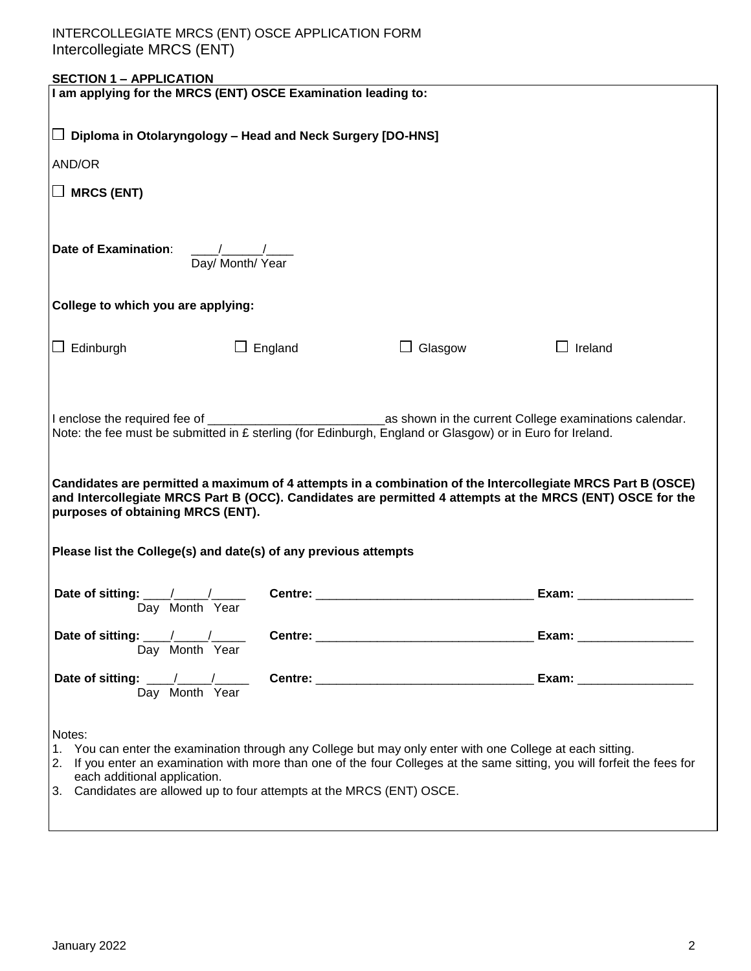| <b>SECTION 1 - APPLICATION</b>                                                                                                                 |                |                |                            |  |
|------------------------------------------------------------------------------------------------------------------------------------------------|----------------|----------------|----------------------------|--|
| I am applying for the MRCS (ENT) OSCE Examination leading to:                                                                                  |                |                |                            |  |
|                                                                                                                                                |                |                |                            |  |
| $\Box$ Diploma in Otolaryngology – Head and Neck Surgery [DO-HNS]                                                                              |                |                |                            |  |
| AND/OR                                                                                                                                         |                |                |                            |  |
| $\Box$ MRCS (ENT)                                                                                                                              |                |                |                            |  |
|                                                                                                                                                |                |                |                            |  |
|                                                                                                                                                |                |                |                            |  |
| <b>Date of Examination:</b>                                                                                                                    |                |                |                            |  |
| $\frac{1}{\text{Day/Month/ Year}}$                                                                                                             |                |                |                            |  |
|                                                                                                                                                |                |                |                            |  |
| College to which you are applying:                                                                                                             |                |                |                            |  |
|                                                                                                                                                |                |                |                            |  |
|                                                                                                                                                |                |                |                            |  |
| $\Box$ Edinburgh                                                                                                                               | $\Box$ England | $\Box$ Glasgow | $\Box$ Ireland             |  |
|                                                                                                                                                |                |                |                            |  |
|                                                                                                                                                |                |                |                            |  |
|                                                                                                                                                |                |                |                            |  |
| Note: the fee must be submitted in £ sterling (for Edinburgh, England or Glasgow) or in Euro for Ireland.                                      |                |                |                            |  |
|                                                                                                                                                |                |                |                            |  |
|                                                                                                                                                |                |                |                            |  |
| Candidates are permitted a maximum of 4 attempts in a combination of the Intercollegiate MRCS Part B (OSCE)                                    |                |                |                            |  |
| and Intercollegiate MRCS Part B (OCC). Candidates are permitted 4 attempts at the MRCS (ENT) OSCE for the<br>purposes of obtaining MRCS (ENT). |                |                |                            |  |
|                                                                                                                                                |                |                |                            |  |
|                                                                                                                                                |                |                |                            |  |
| Please list the College(s) and date(s) of any previous attempts                                                                                |                |                |                            |  |
|                                                                                                                                                |                |                |                            |  |
|                                                                                                                                                |                |                | Exam: $\frac{2}{\sqrt{2}}$ |  |
| Day Month Year                                                                                                                                 |                |                |                            |  |
| Date of sitting: $\frac{1}{\sqrt{1-\frac{1}{2}}}\left  \frac{1}{\sqrt{1-\frac{1}{2}}}\right $                                                  |                |                | Exam: ____________________ |  |
| Day Month Year                                                                                                                                 |                |                |                            |  |
|                                                                                                                                                |                |                |                            |  |
| Day Month Year                                                                                                                                 |                |                |                            |  |
|                                                                                                                                                |                |                |                            |  |
| Notes:                                                                                                                                         |                |                |                            |  |
| 1. You can enter the examination through any College but may only enter with one College at each sitting.                                      |                |                |                            |  |
| 2. If you enter an examination with more than one of the four Colleges at the same sitting, you will forfeit the fees for                      |                |                |                            |  |
| each additional application.<br>3. Candidates are allowed up to four attempts at the MRCS (ENT) OSCE.                                          |                |                |                            |  |
|                                                                                                                                                |                |                |                            |  |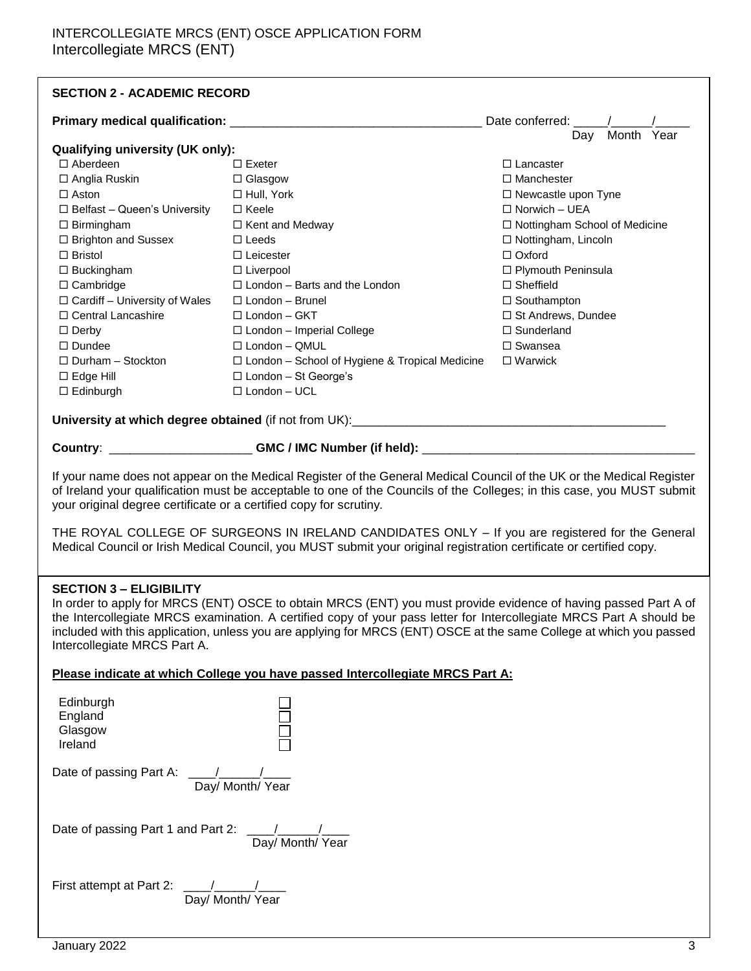# INTERCOLLEGIATE MRCS (ENT) OSCE APPLICATION FORM Intercollegiate MRCS (ENT)

| <b>SECTION 2 - ACADEMIC RECORD</b>                                                                                                                                                                                                                                                                                                                                                                                                                                                                                                               |                                                       |                                 |  |  |  |
|--------------------------------------------------------------------------------------------------------------------------------------------------------------------------------------------------------------------------------------------------------------------------------------------------------------------------------------------------------------------------------------------------------------------------------------------------------------------------------------------------------------------------------------------------|-------------------------------------------------------|---------------------------------|--|--|--|
|                                                                                                                                                                                                                                                                                                                                                                                                                                                                                                                                                  | Date conferred: /                                     |                                 |  |  |  |
| <b>Qualifying university (UK only):</b>                                                                                                                                                                                                                                                                                                                                                                                                                                                                                                          |                                                       | Month Year<br>Day               |  |  |  |
| $\Box$ Aberdeen                                                                                                                                                                                                                                                                                                                                                                                                                                                                                                                                  | $\Box$ Exeter                                         | $\Box$ Lancaster                |  |  |  |
| □ Anglia Ruskin                                                                                                                                                                                                                                                                                                                                                                                                                                                                                                                                  | $\Box$ Glasgow                                        | $\Box$ Manchester               |  |  |  |
| $\Box$ Aston                                                                                                                                                                                                                                                                                                                                                                                                                                                                                                                                     | □ Hull, York                                          | □ Newcastle upon Tyne           |  |  |  |
| $\Box$ Belfast - Queen's University                                                                                                                                                                                                                                                                                                                                                                                                                                                                                                              | $\Box$ Keele                                          | $\Box$ Norwich - UEA            |  |  |  |
| $\Box$ Birmingham                                                                                                                                                                                                                                                                                                                                                                                                                                                                                                                                | □ Kent and Medway                                     | □ Nottingham School of Medicine |  |  |  |
| □ Brighton and Sussex                                                                                                                                                                                                                                                                                                                                                                                                                                                                                                                            | $\Box$ Leeds                                          | □ Nottingham, Lincoln           |  |  |  |
| $\Box$ Bristol                                                                                                                                                                                                                                                                                                                                                                                                                                                                                                                                   | $\Box$ Leicester                                      | $\Box$ Oxford                   |  |  |  |
|                                                                                                                                                                                                                                                                                                                                                                                                                                                                                                                                                  |                                                       |                                 |  |  |  |
| $\Box$ Buckingham                                                                                                                                                                                                                                                                                                                                                                                                                                                                                                                                | $\Box$ Liverpool                                      | □ Plymouth Peninsula            |  |  |  |
| $\Box$ Cambridge                                                                                                                                                                                                                                                                                                                                                                                                                                                                                                                                 | $\Box$ London - Barts and the London                  | $\Box$ Sheffield                |  |  |  |
| $\Box$ Cardiff - University of Wales                                                                                                                                                                                                                                                                                                                                                                                                                                                                                                             | $\Box$ London - Brunel                                | $\Box$ Southampton              |  |  |  |
| □ Central Lancashire                                                                                                                                                                                                                                                                                                                                                                                                                                                                                                                             | □ London - GKT                                        | □ St Andrews, Dundee            |  |  |  |
| $\Box$ Derby                                                                                                                                                                                                                                                                                                                                                                                                                                                                                                                                     | □ London - Imperial College                           | $\square$ Sunderland            |  |  |  |
| $\Box$ Dundee                                                                                                                                                                                                                                                                                                                                                                                                                                                                                                                                    | □ London - QMUL                                       | $\square$ Swansea               |  |  |  |
| $\Box$ Durham - Stockton                                                                                                                                                                                                                                                                                                                                                                                                                                                                                                                         | $\Box$ London - School of Hygiene & Tropical Medicine | $\Box$ Warwick                  |  |  |  |
| $\square$ Edge Hill                                                                                                                                                                                                                                                                                                                                                                                                                                                                                                                              | □ London - St George's                                |                                 |  |  |  |
| $\Box$ Edinburgh                                                                                                                                                                                                                                                                                                                                                                                                                                                                                                                                 | $\Box$ London - UCL                                   |                                 |  |  |  |
|                                                                                                                                                                                                                                                                                                                                                                                                                                                                                                                                                  |                                                       |                                 |  |  |  |
|                                                                                                                                                                                                                                                                                                                                                                                                                                                                                                                                                  |                                                       |                                 |  |  |  |
| If your name does not appear on the Medical Register of the General Medical Council of the UK or the Medical Register<br>of Ireland your qualification must be acceptable to one of the Councils of the Colleges; in this case, you MUST submit<br>your original degree certificate or a certified copy for scrutiny.<br>THE ROYAL COLLEGE OF SURGEONS IN IRELAND CANDIDATES ONLY - If you are registered for the General<br>Medical Council or Irish Medical Council, you MUST submit your original registration certificate or certified copy. |                                                       |                                 |  |  |  |
| <b>SECTION 3 - ELIGIBILITY</b><br>In order to apply for MRCS (ENT) OSCE to obtain MRCS (ENT) you must provide evidence of having passed Part A of<br>the Intercollegiate MRCS examination. A certified copy of your pass letter for Intercollegiate MRCS Part A should be<br>included with this application, unless you are applying for MRCS (ENT) OSCE at the same College at which you passed<br>Intercollegiate MRCS Part A.                                                                                                                 |                                                       |                                 |  |  |  |
| Please indicate at which College you have passed Intercollegiate MRCS Part A:                                                                                                                                                                                                                                                                                                                                                                                                                                                                    |                                                       |                                 |  |  |  |
| Edinburgh<br>England<br>Glasgow<br>Ireland                                                                                                                                                                                                                                                                                                                                                                                                                                                                                                       |                                                       |                                 |  |  |  |
| Date of passing Part A:<br>Day/ Month/ Year                                                                                                                                                                                                                                                                                                                                                                                                                                                                                                      |                                                       |                                 |  |  |  |
| Date of passing Part 1 and Part 2: \[\sqrt \]<br>Day/ Month/ Year                                                                                                                                                                                                                                                                                                                                                                                                                                                                                |                                                       |                                 |  |  |  |
|                                                                                                                                                                                                                                                                                                                                                                                                                                                                                                                                                  |                                                       |                                 |  |  |  |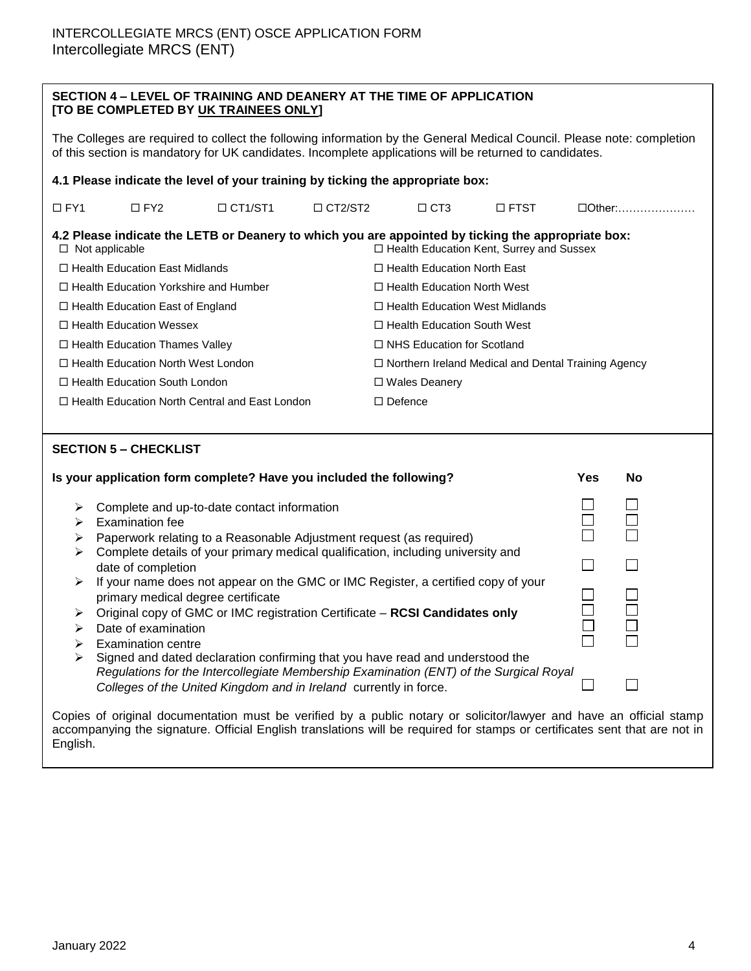| SECTION 4 – LEVEL OF TRAINING AND DEANERY AT THE TIME OF APPLICATION |  |
|----------------------------------------------------------------------|--|
| [TO BE COMPLETED BY UK TRAINEES ONLY]                                |  |

The Colleges are required to collect the following information by the General Medical Council. Please note: completion of this section is mandatory for UK candidates. Incomplete applications will be returned to candidates.

| 4.1 Please indicate the level of your training by ticking the appropriate box:                                                                                                 |                                              |                                                       |                |                |                      |                                                            |               |
|--------------------------------------------------------------------------------------------------------------------------------------------------------------------------------|----------------------------------------------|-------------------------------------------------------|----------------|----------------|----------------------|------------------------------------------------------------|---------------|
| $\Box$ FY1                                                                                                                                                                     | $\Box$ FY2                                   | $\Box$ CT1/ST1                                        | $\Box$ CT2/ST2 |                | $\Box$ CT3           | $\square$ FTST                                             | $\Box$ Other: |
| 4.2 Please indicate the LETB or Deanery to which you are appointed by ticking the appropriate box:<br>$\Box$ Health Education Kent, Surrey and Sussex<br>$\Box$ Not applicable |                                              |                                                       |                |                |                      |                                                            |               |
|                                                                                                                                                                                | $\Box$ Health Education East Midlands        |                                                       |                |                |                      | $\Box$ Health Education North East                         |               |
|                                                                                                                                                                                | $\Box$ Health Education Yorkshire and Humber |                                                       |                |                |                      | $\Box$ Health Education North West                         |               |
|                                                                                                                                                                                | $\Box$ Health Education East of England      |                                                       |                |                |                      | $\Box$ Health Education West Midlands                      |               |
|                                                                                                                                                                                | $\Box$ Health Education Wessex               |                                                       |                |                |                      | $\Box$ Health Education South West                         |               |
|                                                                                                                                                                                | $\Box$ Health Education Thames Valley        |                                                       |                |                |                      | $\Box$ NHS Education for Scotland                          |               |
|                                                                                                                                                                                | $\Box$ Health Education North West London    |                                                       |                |                |                      | $\Box$ Northern Ireland Medical and Dental Training Agency |               |
|                                                                                                                                                                                | $\Box$ Health Education South London         |                                                       |                |                | $\Box$ Wales Deanery |                                                            |               |
|                                                                                                                                                                                |                                              | $\Box$ Health Education North Central and East London |                | $\Box$ Defence |                      |                                                            |               |
|                                                                                                                                                                                |                                              |                                                       |                |                |                      |                                                            |               |
| <b>SECTION 5 – CHECKLIST</b>                                                                                                                                                   |                                              |                                                       |                |                |                      |                                                            |               |

|   | Is your application form complete? Have you included the following?                                                                                                                                                                          | <b>Yes</b> | No |
|---|----------------------------------------------------------------------------------------------------------------------------------------------------------------------------------------------------------------------------------------------|------------|----|
| ➤ | Complete and up-to-date contact information                                                                                                                                                                                                  |            |    |
|   | Examination fee                                                                                                                                                                                                                              |            |    |
|   | Paperwork relating to a Reasonable Adjustment request (as required)                                                                                                                                                                          |            |    |
|   | Complete details of your primary medical qualification, including university and<br>date of completion                                                                                                                                       |            |    |
|   | If your name does not appear on the GMC or IMC Register, a certified copy of your<br>primary medical degree certificate                                                                                                                      |            |    |
|   | Original copy of GMC or IMC registration Certificate - RCSI Candidates only                                                                                                                                                                  |            |    |
|   | Date of examination                                                                                                                                                                                                                          |            |    |
|   | Examination centre                                                                                                                                                                                                                           |            |    |
| ➤ | Signed and dated declaration confirming that you have read and understood the<br>Regulations for the Intercollegiate Membership Examination (ENT) of the Surgical Royal<br>Colleges of the United Kingdom and in Ireland currently in force. |            |    |

Copies of original documentation must be verified by a public notary or solicitor/lawyer and have an official stamp accompanying the signature. Official English translations will be required for stamps or certificates sent that are not in English.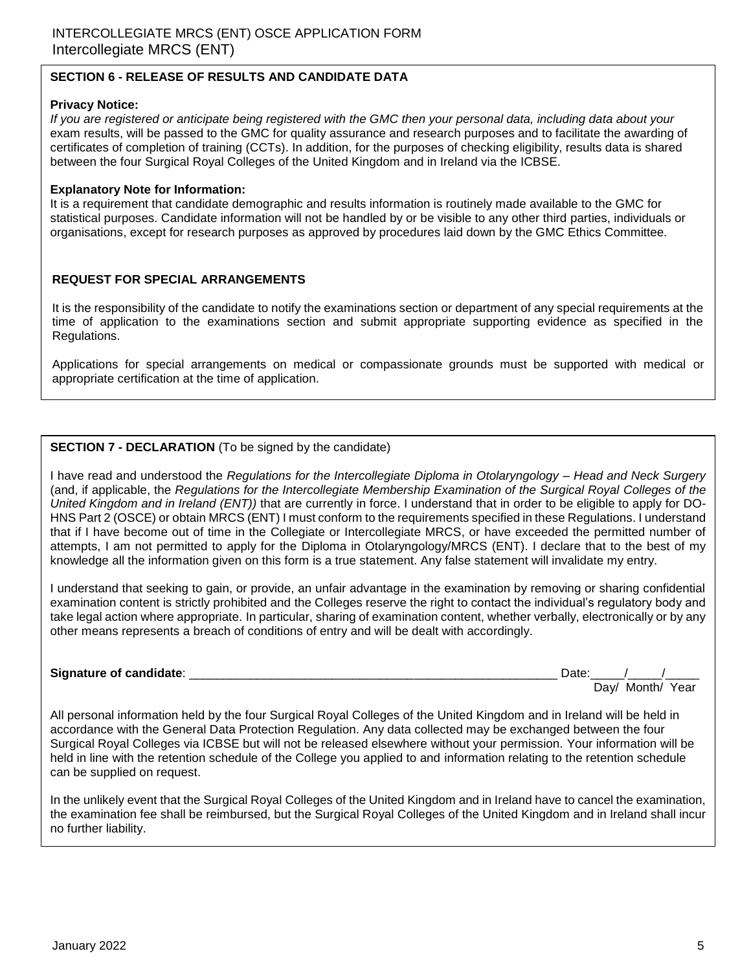### **SECTION 6 - RELEASE OF RESULTS AND CANDIDATE DATA**

### **Privacy Notice:**

*If you are registered or anticipate being registered with the GMC then your personal data, including data about your*  exam results, will be passed to the GMC for quality assurance and research purposes and to facilitate the awarding of certificates of completion of training (CCTs). In addition, for the purposes of checking eligibility, results data is shared between the four Surgical Royal Colleges of the United Kingdom and in Ireland via the ICBSE.

### **Explanatory Note for Information:**

It is a requirement that candidate demographic and results information is routinely made available to the GMC for statistical purposes. Candidate information will not be handled by or be visible to any other third parties, individuals or organisations, except for research purposes as approved by procedures laid down by the GMC Ethics Committee.

### **REQUEST FOR SPECIAL ARRANGEMENTS**

It is the responsibility of the candidate to notify the examinations section or department of any special requirements at the time of application to the examinations section and submit appropriate supporting evidence as specified in the Regulations.

Applications for special arrangements on medical or compassionate grounds must be supported with medical or appropriate certification at the time of application.

### **SECTION 7 - DECLARATION** (To be signed by the candidate)

I have read and understood the *Regulations for the Intercollegiate Diploma in Otolaryngology – Head and Neck Surgery*  (and, if applicable, the *Regulations for the Intercollegiate Membership Examination of the Surgical Royal Colleges of the United Kingdom and in Ireland (ENT))* that are currently in force. I understand that in order to be eligible to apply for DO-HNS Part 2 (OSCE) or obtain MRCS (ENT) I must conform to the requirements specified in these Regulations. I understand that if I have become out of time in the Collegiate or Intercollegiate MRCS, or have exceeded the permitted number of attempts, I am not permitted to apply for the Diploma in Otolaryngology/MRCS (ENT). I declare that to the best of my knowledge all the information given on this form is a true statement. Any false statement will invalidate my entry.

I understand that seeking to gain, or provide, an unfair advantage in the examination by removing or sharing confidential examination content is strictly prohibited and the Colleges reserve the right to contact the individual's regulatory body and take legal action where appropriate. In particular, sharing of examination content, whether verbally, electronically or by any other means represents a breach of conditions of entry and will be dealt with accordingly.

#### **Signature of candidate**: \_\_\_\_\_\_\_\_\_\_\_\_\_\_\_\_\_\_\_\_\_\_\_\_\_\_\_\_\_\_\_\_\_\_\_\_\_\_\_\_\_\_\_\_\_\_\_\_\_\_\_\_\_\_ Date:\_\_\_\_\_/\_\_\_\_\_/\_\_\_\_\_

Day/ Month/ Year

All personal information held by the four Surgical Royal Colleges of the United Kingdom and in Ireland will be held in accordance with the General Data Protection Regulation. Any data collected may be exchanged between the four Surgical Royal Colleges via ICBSE but will not be released elsewhere without your permission. Your information will be held in line with the retention schedule of the College you applied to and information relating to the retention schedule can be supplied on request.

In the unlikely event that the Surgical Royal Colleges of the United Kingdom and in Ireland have to cancel the examination, the examination fee shall be reimbursed, but the Surgical Royal Colleges of the United Kingdom and in Ireland shall incur no further liability.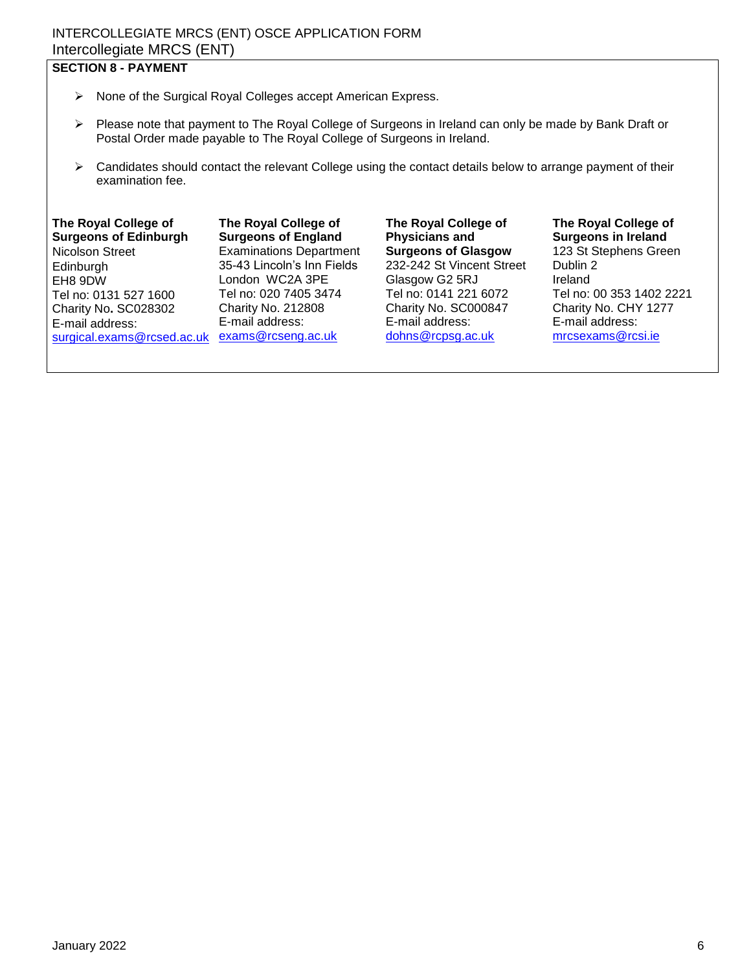# INTERCOLLEGIATE MRCS (ENT) OSCE APPLICATION FORM Intercollegiate MRCS (ENT)

# **SECTION 8 - PAYMENT**

- $\triangleright$  None of the Surgical Royal Colleges accept American Express.
- $\triangleright$  Please note that payment to The Royal College of Surgeons in Ireland can only be made by Bank Draft or Postal Order made payable to The Royal College of Surgeons in Ireland.
- $\triangleright$  Candidates should contact the relevant College using the contact details below to arrange payment of their examination fee.

### **The Royal College of Surgeons of Edinburgh**

Nicolson Street Edinburgh EH8 9DW Tel no: 0131 527 1600 Charity No**.** SC028302 E-mail address: [surgical.exams@rcsed.ac.uk](mailto:surgical.exams@rcsed.ac.uk)

**The Royal College of Surgeons of England**  Examinations Department 35-43 Lincoln's Inn Fields London WC2A 3PE Tel no: 020 7405 3474 Charity No. 212808 E-mail address: [exams@rcseng.ac.uk](mailto:exams@rcseng.ac.uk) 

**The Royal College of Physicians and Surgeons of Glasgow**  232-242 St Vincent Street Glasgow G2 5RJ Tel no: 0141 221 6072 Charity No. SC000847 E-mail address: [dohns@rcpsg.ac.uk](mailto:dohns@rcpsg.ac.uk)

# **The Royal College of Surgeons in Ireland**  123 St Stephens Green

Dublin 2 Ireland Tel no: 00 353 1402 2221 Charity No. CHY 1277 E-mail address: [mrcsexams@rcsi.ie](mailto:mrcsexams@rcsi.ie)